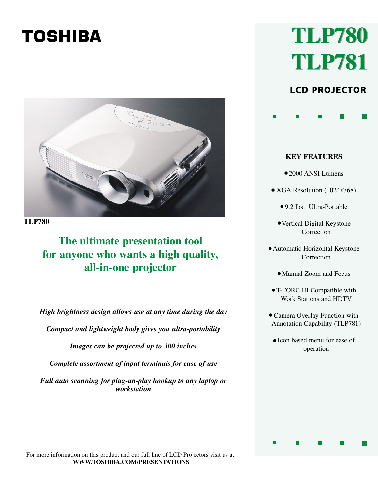# **TOSHIBA**



**TLP780**

## **The ultimate presentation tool for anyone who wants a high quality, all-in-one projector**

*High brightness design allows use at any time during the day*

*Compact and lightweight body gives you ultra-portability*

*Images can be projected up to 300 inches*

*Complete assortment of input terminals for ease of use*

*Full auto scanning for plug-an-play hookup to any laptop or workstation*

# **TLP780 TLP780 TLP781 TLP781**

### LCD PROJECTOR

**KEY FEATURES**

- 2000 ANSI Lumens
- XGA Resolution (1024x768)
	- 9.2 lbs. Ultra-Portable •
	- Vertical Digital Keystone Correction
- Automatic Horizontal Keystone Correction
	- Manual Zoom and Focus •
- T-FORC III Compatible with Work Stations and HDTV
- Camera Overlay Function with Annotation Capability (TLP781)
	- Icon based menu for ease of operation

For more information on this product and our full line of LCD Projectors visit us at: **WWW.TOSHIBA.COM/PRESENTATIONS**